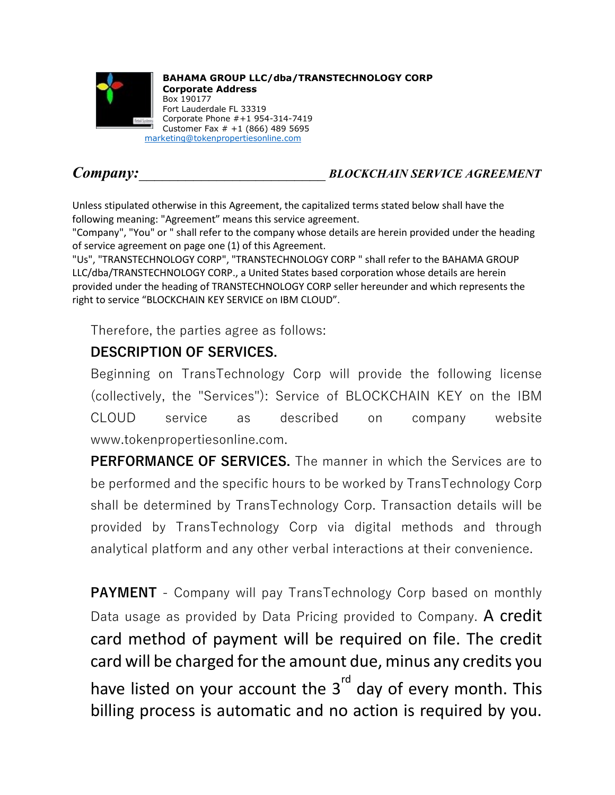

**BAHAMA GROUP LLC/dba/TRANSTECHNOLOGY CORP Corporate Address** Box 190177 Fort Lauderdale FL 33319 Corporate Phone #+1 954-314-7419 Customer Fax # +1 (866) 489 5695 [marketing@tokenpropertiesonline.com](mailto:marketing@tokenpropertiesonline.com)

## *Company:\_\_\_\_\_\_\_\_\_\_\_\_\_\_\_\_\_\_\_\_\_\_\_\_ BLOCKCHAIN SERVICE AGREEMENT*

Unless stipulated otherwise in this Agreement, the capitalized terms stated below shall have the following meaning: "Agreement" means this service agreement.

"Company", "You" or " shall refer to the company whose details are herein provided under the heading of service agreement on page one (1) of this Agreement.

"Us", "TRANSTECHNOLOGY CORP", "TRANSTECHNOLOGY CORP " shall refer to the BAHAMA GROUP LLC/dba/TRANSTECHNOLOGY CORP., a United States based corporation whose details are herein provided under the heading of TRANSTECHNOLOGY CORP seller hereunder and which represents the right to service "BLOCKCHAIN KEY SERVICE on IBM CLOUD".

Therefore, the parties agree as follows:

## **DESCRIPTION OF SERVICES.**

Beginning on TransTechnology Corp will provide the following license (collectively, the "Services"): Service of BLOCKCHAIN KEY on the IBM CLOUD service as described on company website www.tokenpropertiesonline.com.

**PERFORMANCE OF SERVICES.** The manner in which the Services are to be performed and the specific hours to be worked by TransTechnology Corp shall be determined by TransTechnology Corp. Transaction details will be provided by TransTechnology Corp via digital methods and through analytical platform and any other verbal interactions at their convenience.

**PAYMENT** - Company will pay TransTechnology Corp based on monthly Data usage as provided by Data Pricing provided to Company. A credit card method of payment will be required on file. The credit card will be charged for the amount due, minus any credits you have listed on your account the  $3<sup>rd</sup>$  day of every month. This billing process is automatic and no action is required by you.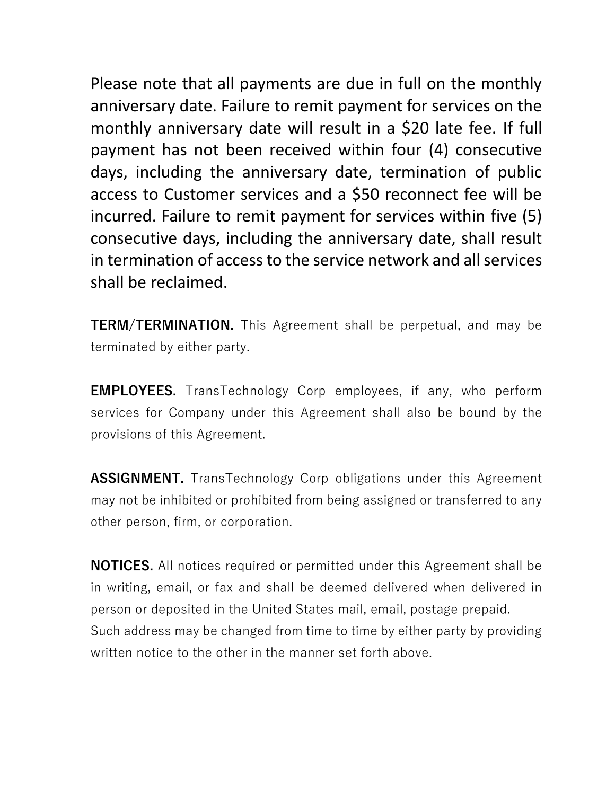Please note that all payments are due in full on the monthly anniversary date. Failure to remit payment for services on the monthly anniversary date will result in a \$20 late fee. If full payment has not been received within four (4) consecutive days, including the anniversary date, termination of public access to Customer services and a \$50 reconnect fee will be incurred. Failure to remit payment for services within five (5) consecutive days, including the anniversary date, shall result in termination of access to the service network and all services shall be reclaimed.

**TERM/TERMINATION.** This Agreement shall be perpetual, and may be terminated by either party.

**EMPLOYEES.** TransTechnology Corp employees, if any, who perform services for Company under this Agreement shall also be bound by the provisions of this Agreement.

**ASSIGNMENT.** TransTechnology Corp obligations under this Agreement may not be inhibited or prohibited from being assigned or transferred to any other person, firm, or corporation.

**NOTICES.** All notices required or permitted under this Agreement shall be in writing, email, or fax and shall be deemed delivered when delivered in person or deposited in the United States mail, email, postage prepaid. Such address may be changed from time to time by either party by providing written notice to the other in the manner set forth above.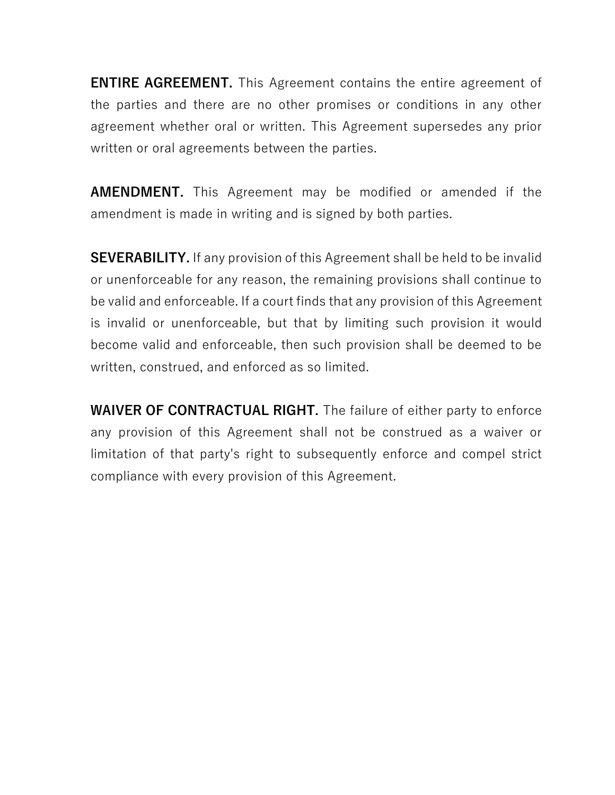**ENTIRE AGREEMENT.** This Agreement contains the entire agreement of the parties and there are no other promises or conditions in any other agreement whether oral or written. This Agreement supersedes any prior written or oral agreements between the parties.

**AMENDMENT.** This Agreement may be modified or amended if the amendment is made in writing and is signed by both parties.

**SEVERABILITY.** If any provision of this Agreement shall be held to be invalid or unenforceable for any reason, the remaining provisions shall continue to be valid and enforceable. If a court finds that any provision of this Agreement is invalid or unenforceable, but that by limiting such provision it would become valid and enforceable, then such provision shall be deemed to be written, construed, and enforced as so limited.

**WAIVER OF CONTRACTUAL RIGHT.** The failure of either party to enforce any provision of this Agreement shall not be construed as a waiver or limitation of that party's right to subsequently enforce and compel strict compliance with every provision of this Agreement.